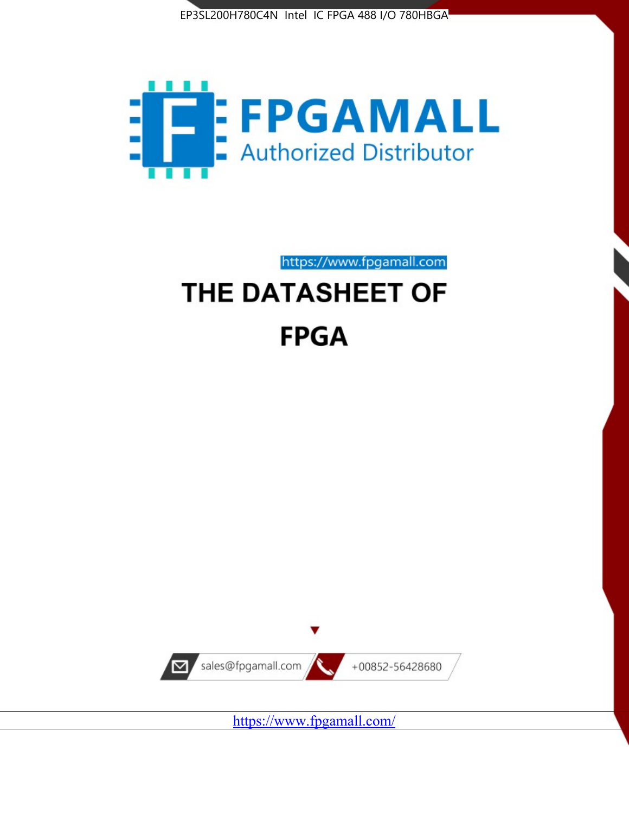



https://www.fpgamall.com

# THE DATASHEET OF **FPGA**



<https://www.fpgamall.com/>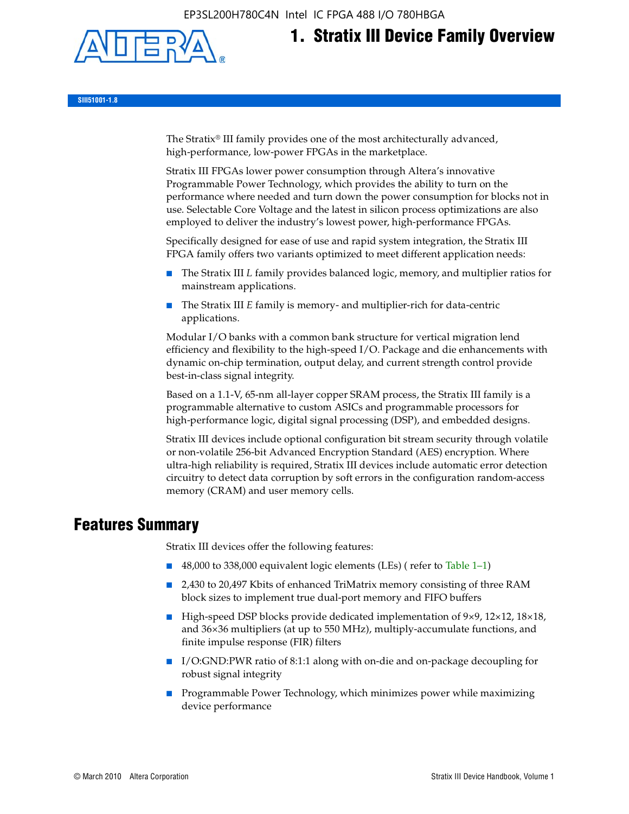

# **1. Stratix III Device Family Overview**

**SIII51001-1.8**

The Stratix® III family provides one of the most architecturally advanced, high-performance, low-power FPGAs in the marketplace.

Stratix III FPGAs lower power consumption through Altera's innovative Programmable Power Technology, which provides the ability to turn on the performance where needed and turn down the power consumption for blocks not in use. Selectable Core Voltage and the latest in silicon process optimizations are also employed to deliver the industry's lowest power, high-performance FPGAs.

Specifically designed for ease of use and rapid system integration, the Stratix III FPGA family offers two variants optimized to meet different application needs:

- The Stratix III *L* family provides balanced logic, memory, and multiplier ratios for mainstream applications.
- The Stratix III *E* family is memory- and multiplier-rich for data-centric applications.

Modular I/O banks with a common bank structure for vertical migration lend efficiency and flexibility to the high-speed I/O. Package and die enhancements with dynamic on-chip termination, output delay, and current strength control provide best-in-class signal integrity.

Based on a 1.1-V, 65-nm all-layer copper SRAM process, the Stratix III family is a programmable alternative to custom ASICs and programmable processors for high-performance logic, digital signal processing (DSP), and embedded designs.

Stratix III devices include optional configuration bit stream security through volatile or non-volatile 256-bit Advanced Encryption Standard (AES) encryption. Where ultra-high reliability is required, Stratix III devices include automatic error detection circuitry to detect data corruption by soft errors in the configuration random-access memory (CRAM) and user memory cells.

# **Features Summary**

Stratix III devices offer the following features:

- 48,000 to 338,000 equivalent logic elements (LEs) (refer to Table 1–1)
- 2,430 to 20,497 Kbits of enhanced TriMatrix memory consisting of three RAM block sizes to implement true dual-port memory and FIFO buffers
- High-speed DSP blocks provide dedicated implementation of 9×9, 12×12, 18×18, and 36×36 multipliers (at up to 550 MHz), multiply-accumulate functions, and finite impulse response (FIR) filters
- I/O:GND:PWR ratio of 8:1:1 along with on-die and on-package decoupling for robust signal integrity
- Programmable Power Technology, which minimizes power while maximizing device performance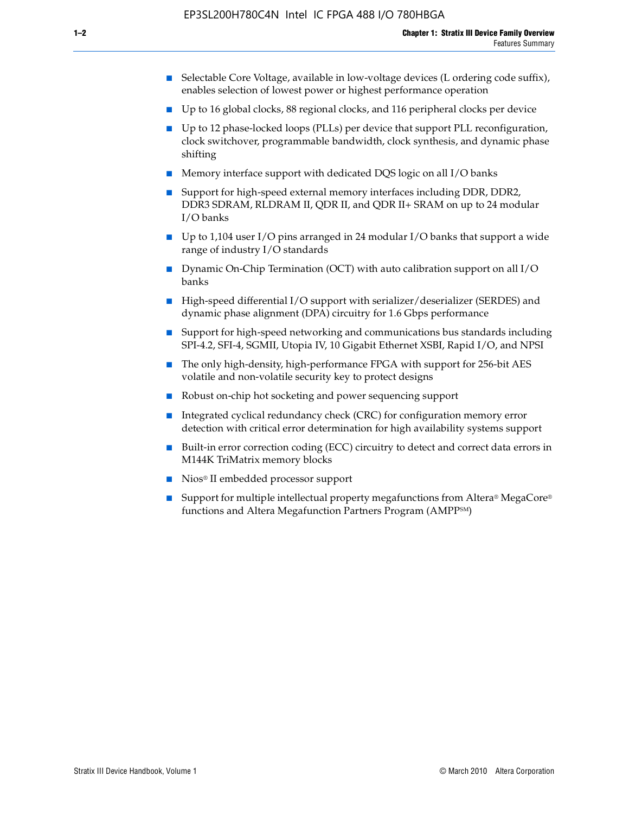- Selectable Core Voltage, available in low-voltage devices (L ordering code suffix), enables selection of lowest power or highest performance operation
- Up to 16 global clocks, 88 regional clocks, and 116 peripheral clocks per device
- Up to 12 phase-locked loops (PLLs) per device that support PLL reconfiguration, clock switchover, programmable bandwidth, clock synthesis, and dynamic phase shifting
- Memory interface support with dedicated DQS logic on all I/O banks
- Support for high-speed external memory interfaces including DDR, DDR2, DDR3 SDRAM, RLDRAM II, QDR II, and QDR II+ SRAM on up to 24 modular I/O banks
- Up to 1,104 user I/O pins arranged in 24 modular I/O banks that support a wide range of industry I/O standards
- Dynamic On-Chip Termination (OCT) with auto calibration support on all  $I/O$ banks
- High-speed differential I/O support with serializer/deserializer (SERDES) and dynamic phase alignment (DPA) circuitry for 1.6 Gbps performance
- Support for high-speed networking and communications bus standards including SPI-4.2, SFI-4, SGMII, Utopia IV, 10 Gigabit Ethernet XSBI, Rapid I/O, and NPSI
- The only high-density, high-performance FPGA with support for 256-bit AES volatile and non-volatile security key to protect designs
- Robust on-chip hot socketing and power sequencing support
- Integrated cyclical redundancy check (CRC) for configuration memory error detection with critical error determination for high availability systems support
- Built-in error correction coding (ECC) circuitry to detect and correct data errors in M144K TriMatrix memory blocks
- Nios<sup>®</sup> II embedded processor support
- Support for multiple intellectual property megafunctions from Altera® MegaCore® functions and Altera Megafunction Partners Program (AMPPSM)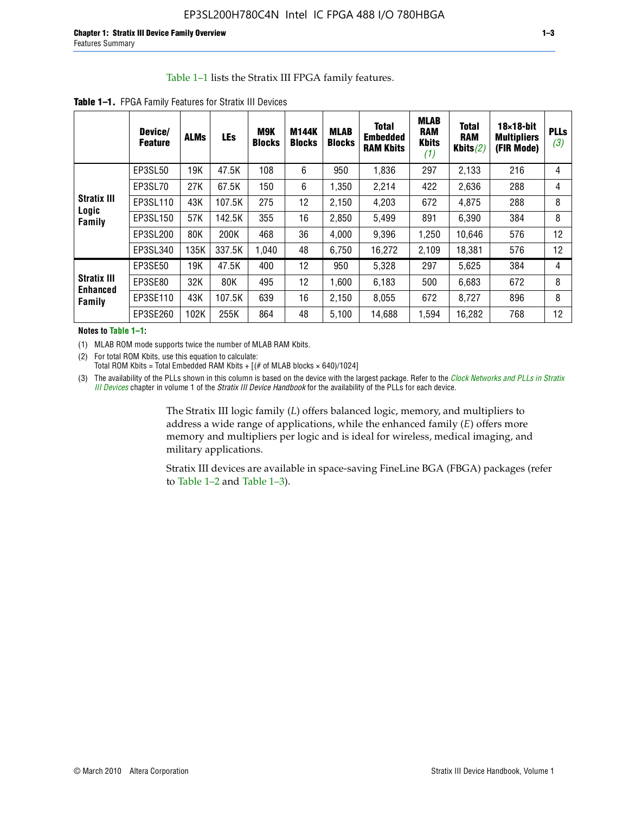#### Table 1–1 lists the Stratix III FPGA family features.

| <b>Table 1–1.</b> FPGA Family Features for Stratix III Devices |                           |             |            |                      |                        |                              |                                                   |
|----------------------------------------------------------------|---------------------------|-------------|------------|----------------------|------------------------|------------------------------|---------------------------------------------------|
|                                                                | Device/<br><b>Feature</b> | <b>ALMs</b> | <b>LEs</b> | M9K<br><b>Blocks</b> | M144K<br><b>Blocks</b> | <b>MLAB</b><br><b>Blocks</b> | <b>Total</b><br><b>Embedde</b><br><b>RAM Kbit</b> |

|                                       | Device/<br><b>Feature</b> | <b>ALMs</b> | <b>LEs</b> | M9K<br><b>Blocks</b> | <b>M144K</b><br><b>Blocks</b> | <b>MLAB</b><br><b>Blocks</b> | <b>Total</b><br><b>Embedded</b><br><b>RAM Kbits</b> | MLAD<br><b>RAM</b><br><b>Kbits</b><br>(1) | <b>Total</b><br><b>RAM</b><br>Kbits $(2)$ | $18\times18$ -bit<br><b>Multipliers</b><br>(FIR Mode) | <b>PLLs</b><br>(3) |
|---------------------------------------|---------------------------|-------------|------------|----------------------|-------------------------------|------------------------------|-----------------------------------------------------|-------------------------------------------|-------------------------------------------|-------------------------------------------------------|--------------------|
|                                       | EP3SL50                   | 19K         | 47.5K      | 108                  | 6                             | 950                          | 1,836                                               | 297                                       | 2,133                                     | 216                                                   | 4                  |
|                                       | EP3SL70                   | 27K         | 67.5K      | 150                  | 6                             | 1,350                        | 2,214                                               | 422                                       | 2,636                                     | 288                                                   | 4                  |
| <b>Stratix III</b><br>Logic           | EP3SL110                  | 43K         | 107.5K     | 275                  | 12                            | 2,150                        | 4,203                                               | 672                                       | 4,875                                     | 288                                                   | 8                  |
| Family                                | EP3SL150                  | 57K         | 142.5K     | 355                  | 16                            | 2,850                        | 5,499                                               | 891                                       | 6,390                                     | 384                                                   | 8                  |
|                                       | EP3SL200                  | 80K         | 200K       | 468                  | 36                            | 4,000                        | 9,396                                               | 1,250                                     | 10,646                                    | 576                                                   | 12                 |
|                                       | EP3SL340                  | 135K        | 337.5K     | 1,040                | 48                            | 6,750                        | 16,272                                              | 2,109                                     | 18,381                                    | 576                                                   | 12                 |
|                                       | EP3SE50                   | 19K         | 47.5K      | 400                  | 12                            | 950                          | 5,328                                               | 297                                       | 5,625                                     | 384                                                   | 4                  |
| <b>Stratix III</b><br><b>Enhanced</b> | EP3SE80                   | 32K         | 80K        | 495                  | 12                            | 1,600                        | 6,183                                               | 500                                       | 6,683                                     | 672                                                   | 8                  |
| Family                                | EP3SE110                  | 43K         | 107.5K     | 639                  | 16                            | 2,150                        | 8.055                                               | 672                                       | 8,727                                     | 896                                                   | 8                  |
|                                       | EP3SE260                  | 102K        | 255K       | 864                  | 48                            | 5,100                        | 14,688                                              | 1,594                                     | 16,282                                    | 768                                                   | 12                 |

**Notes to Table 1–1:**

(1) MLAB ROM mode supports twice the number of MLAB RAM Kbits.

(2) For total ROM Kbits, use this equation to calculate: Total ROM Kbits = Total Embedded RAM Kbits +  $[(# of MLAB blocks × 640)/1024]$ 

(3) The availability of the PLLs shown in this column is based on the device with the largest package. Refer to the *[Clock Networks and PLLs in Stratix](http://www.altera.com/literature/hb/stx3/stx3_siii51006.pdf)  [III Devices](http://www.altera.com/literature/hb/stx3/stx3_siii51006.pdf)* chapter in volume 1 of the *Stratix III Device Handbook* for the availability of the PLLs for each device.

> The Stratix III logic family (*L*) offers balanced logic, memory, and multipliers to address a wide range of applications, while the enhanced family (*E*) offers more memory and multipliers per logic and is ideal for wireless, medical imaging, and military applications.

Stratix III devices are available in space-saving FineLine BGA (FBGA) packages (refer to Table 1–2 and Table 1–3).

**MLAB**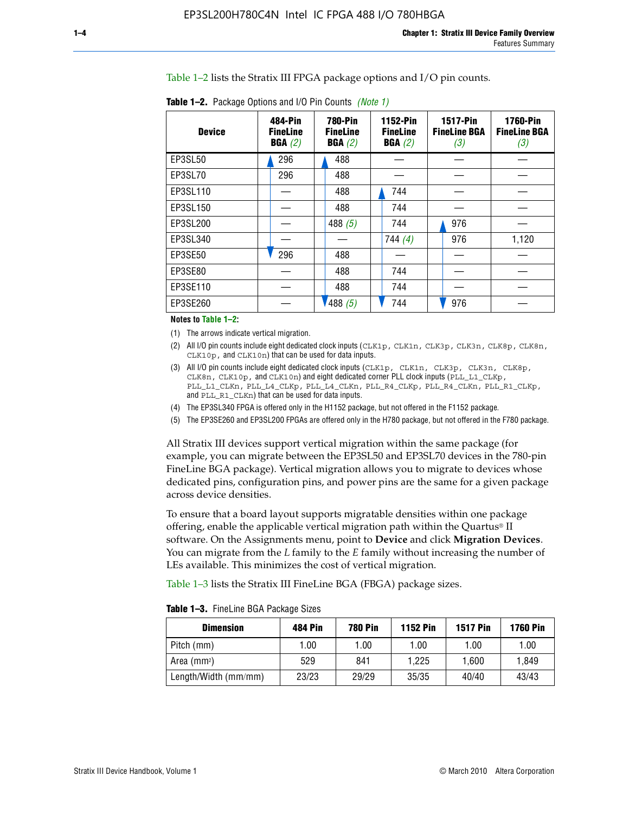Table 1–2 lists the Stratix III FPGA package options and I/O pin counts.

| <b>Device</b> | 484-Pin<br><b>FineLine</b><br>BGA(2) | <b>780-Pin</b><br><b>FineLine</b><br>BGA(2) | <b>1152-Pin</b><br><b>FineLine</b><br>BGA(2) | <b>1517-Pin</b><br><b>FineLine BGA</b><br>(3) | <b>1760-Pin</b><br><b>FineLine BGA</b><br>(3) |
|---------------|--------------------------------------|---------------------------------------------|----------------------------------------------|-----------------------------------------------|-----------------------------------------------|
| EP3SL50       | 296                                  | 488                                         |                                              |                                               |                                               |
| EP3SL70       | 296                                  | 488                                         |                                              |                                               |                                               |
| EP3SL110      |                                      | 488                                         | 744                                          |                                               |                                               |
| EP3SL150      |                                      | 488                                         | 744                                          |                                               |                                               |
| EP3SL200      |                                      | 488 $(5)$                                   | 744                                          | 976                                           |                                               |
| EP3SL340      |                                      |                                             | 744 $(4)$                                    | 976                                           | 1,120                                         |
| EP3SE50       | 296                                  | 488                                         |                                              |                                               |                                               |
| EP3SE80       |                                      | 488                                         | 744                                          |                                               |                                               |
| EP3SE110      |                                      | 488                                         | 744                                          |                                               |                                               |
| EP3SE260      |                                      | 488(5)                                      | 744                                          | 976                                           |                                               |

**Table 1–2.** Package Options and I/O Pin Counts *(Note 1)*

**Notes to Table 1–2:**

(1) The arrows indicate vertical migration.

- (2) All I/O pin counts include eight dedicated clock inputs (CLK1p, CLK1n, CLK3p, CLK3n, CLK8p, CLK8n, CLK10p, and CLK10n) that can be used for data inputs.
- (3) All I/O pin counts include eight dedicated clock inputs (CLK1p, CLK1n, CLK3p, CLK3n, CLK8p, CLK8n, CLK10p, and CLK10n) and eight dedicated corner PLL clock inputs (PLL\_L1\_CLKp, PLL\_L1\_CLKn, PLL\_L4\_CLKp, PLL\_L4\_CLKn, PLL\_R4\_CLKp, PLL\_R4\_CLKn, PLL\_R1\_CLKp, and PLL\_R1\_CLKn) that can be used for data inputs.
- (4) The EP3SL340 FPGA is offered only in the H1152 package, but not offered in the F1152 package.
- (5) The EP3SE260 and EP3SL200 FPGAs are offered only in the H780 package, but not offered in the F780 package.

All Stratix III devices support vertical migration within the same package (for example, you can migrate between the EP3SL50 and EP3SL70 devices in the 780-pin FineLine BGA package). Vertical migration allows you to migrate to devices whose dedicated pins, configuration pins, and power pins are the same for a given package across device densities.

To ensure that a board layout supports migratable densities within one package offering, enable the applicable vertical migration path within the Quartus® II software. On the Assignments menu, point to **Device** and click **Migration Devices**. You can migrate from the *L* family to the *E* family without increasing the number of LEs available. This minimizes the cost of vertical migration.

Table 1–3 lists the Stratix III FineLine BGA (FBGA) package sizes.

**Table 1–3.** FineLine BGA Package Sizes

| <b>Dimension</b>     | <b>484 Pin</b> | <b>780 Pin</b> | <b>1152 Pin</b> | <b>1517 Pin</b> | <b>1760 Pin</b> |
|----------------------|----------------|----------------|-----------------|-----------------|-----------------|
| Pitch (mm)           | 1.00           | 1.00           | 1.00            | 1.00            | 1.00            |
| Area $(mm2)$         | 529            | 841            | 1.225           | 1.600           | 1.849           |
| Length/Width (mm/mm) | 23/23          | 29/29          | 35/35           | 40/40           | 43/43           |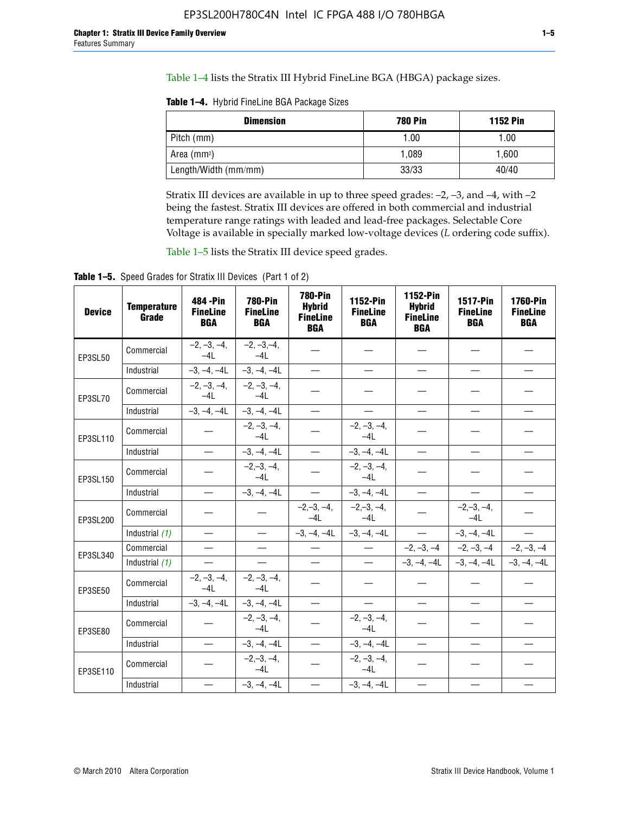Table 1–4 lists the Stratix III Hybrid FineLine BGA (HBGA) package sizes.

**Table 1–4.** Hybrid FineLine BGA Package Sizes

| <b>Dimension</b>     | <b>780 Pin</b> | <b>1152 Pin</b> |
|----------------------|----------------|-----------------|
| Pitch (mm)           | 1.00           | 1.00            |
| Area $(mm^2)$        | 1.089          | 1.600           |
| Length/Width (mm/mm) | 33/33          | 40/40           |

Stratix III devices are available in up to three speed grades: –2, –3, and –4, with –2 being the fastest. Stratix III devices are offered in both commercial and industrial temperature range ratings with leaded and lead-free packages. Selectable Core Voltage is available in specially marked low-voltage devices (*L* ordering code suffix).

Table 1–5 lists the Stratix III device speed grades.

Table 1-5. Speed Grades for Stratix III Devices (Part 1 of 2)

| <b>Device</b> | <b>Temperature</b><br>Grade | 484 - Pin<br><b>FineLine</b><br><b>BGA</b> | <b>780-Pin</b><br><b>FineLine</b><br><b>BGA</b> | <b>780-Pin</b><br><b>Hybrid</b><br><b>FineLine</b><br><b>BGA</b> | 1152-Pin<br><b>FineLine</b><br><b>BGA</b> | 1152-Pin<br><b>Hybrid</b><br><b>FineLine</b><br><b>BGA</b> | 1517-Pin<br><b>FineLine</b><br><b>BGA</b> | <b>1760-Pin</b><br><b>FineLine</b><br><b>BGA</b> |
|---------------|-----------------------------|--------------------------------------------|-------------------------------------------------|------------------------------------------------------------------|-------------------------------------------|------------------------------------------------------------|-------------------------------------------|--------------------------------------------------|
| EP3SL50       | Commercial                  | $-2, -3, -4,$<br>$-4L$                     | $-2, -3, -4,$<br>$-4L$                          |                                                                  |                                           |                                                            |                                           |                                                  |
|               | Industrial                  | $-3, -4, -4L$                              | $-3, -4, -4L$                                   | $\overline{\phantom{0}}$                                         | $\equiv$                                  | $\equiv$                                                   | $\equiv$                                  | $\equiv$                                         |
| EP3SL70       | Commercial                  | $-2, -3, -4,$<br>$-41$                     | $-2, -3, -4,$<br>$-41$                          |                                                                  |                                           |                                                            |                                           |                                                  |
|               | Industrial                  | $-3, -4, -4L$                              | $-3, -4, -4L$                                   | $\equiv$                                                         | $\overline{\phantom{0}}$                  | $\overline{\phantom{0}}$                                   | $\overline{\phantom{0}}$                  | $\overline{\phantom{0}}$                         |
| EP3SL110      | Commercial                  |                                            | $-2, -3, -4,$<br>$-4L$                          |                                                                  | $-2, -3, -4,$<br>$-4L$                    |                                                            |                                           |                                                  |
|               | Industrial                  | $\overline{\phantom{0}}$                   | $-3, -4, -4L$                                   | $\frac{1}{1}$                                                    | $-3, -4, -4L$                             | $\frac{1}{2}$                                              | $\equiv$                                  | $\overline{\phantom{0}}$                         |
| EP3SL150      | Commercial                  |                                            | $-2, -3, -4,$<br>$-41$                          |                                                                  | $-2, -3, -4,$<br>$-41$                    |                                                            |                                           |                                                  |
|               | Industrial                  |                                            | $-3, -4, -4L$                                   | $\overline{\phantom{0}}$                                         | $-3, -4, -4L$                             |                                                            | $\qquad \qquad -$                         | $\equiv$                                         |
| EP3SL200      | Commercial                  |                                            |                                                 | $-2, -3, -4,$<br>$-4L$                                           | $-2, -3, -4,$<br>$-4L$                    |                                                            | $-2,-3,-4,$<br>$-4L$                      |                                                  |
|               | Industrial (1)              | $\equiv$                                   | $\equiv$                                        | $-3, -4, -4L$                                                    | $-3, -4, -4L$                             | $\frac{1}{2}$                                              | $-3, -4, -4L$                             | $\overline{\phantom{0}}$                         |
| EP3SL340      | Commercial                  | $\equiv$                                   | $\equiv$                                        | $\overbrace{\phantom{1232211}}$                                  | $\overline{\phantom{m}}$                  |                                                            | $-2, -3, -4$ $-2, -3, -4$                 | $-2, -3, -4$                                     |
|               | Industrial (1)              | $\overline{\phantom{m}}$                   | $\equiv$                                        | $\equiv$                                                         | $-$                                       |                                                            | $-3, -4, -4$ $-4$ $-3, -4, -4$            | $-3, -4, -4L$                                    |
| EP3SE50       | Commercial                  | $-2, -3, -4,$<br>$-4L$                     | $-2, -3, -4,$<br>$-4L$                          |                                                                  |                                           |                                                            |                                           |                                                  |
|               | Industrial                  | $-3, -4, -4L$                              | $-3, -4, -4L$                                   | $\equiv$                                                         | $\overline{\phantom{0}}$                  |                                                            |                                           | $\overline{\phantom{0}}$                         |
| EP3SE80       | Commercial                  |                                            | $-2, -3, -4,$<br>$-41$                          |                                                                  | $-2, -3, -4,$<br>$-41$                    |                                                            |                                           |                                                  |
|               | Industrial                  | $\overline{\phantom{m}}$                   | $-3, -4, -4L$                                   | $\overbrace{\phantom{1232211}}$                                  | $-3, -4, -4L$                             |                                                            | $\equiv$                                  |                                                  |
| EP3SE110      | Commercial                  |                                            | $-2, -3, -4,$<br>$-4L$                          |                                                                  | $-2, -3, -4,$<br>$-41$                    |                                                            |                                           |                                                  |
|               | Industrial                  |                                            | $-3, -4, -4L$                                   | $\overline{\phantom{0}}$                                         | $-3, -4, -4L$                             |                                                            |                                           |                                                  |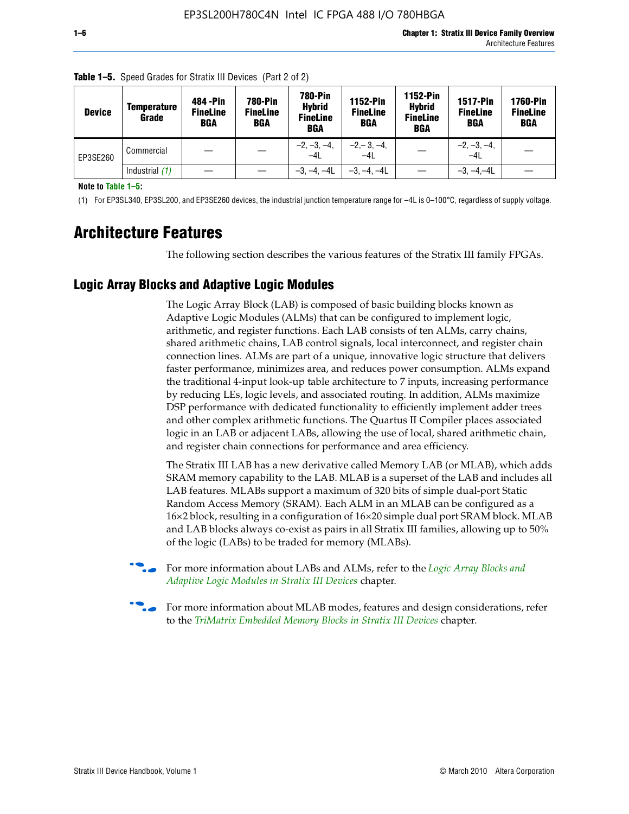| <b>Device</b> | <b>Temperature</b><br>Grade | 484 - Pin<br><b>FineLine</b><br><b>BGA</b> | <b>780-Pin</b><br><b>FineLine</b><br><b>BGA</b> | <b>780-Pin</b><br><b>Hybrid</b><br><b>FineLine</b><br><b>BGA</b> | 1152-Pin<br><b>FineLine</b><br>BGA | 1152-Pin<br><b>Hybrid</b><br><b>FineLine</b><br>BGA | <b>1517-Pin</b><br><b>FineLine</b><br><b>BGA</b> | <b>1760-Pin</b><br><b>FineLine</b><br><b>BGA</b> |
|---------------|-----------------------------|--------------------------------------------|-------------------------------------------------|------------------------------------------------------------------|------------------------------------|-----------------------------------------------------|--------------------------------------------------|--------------------------------------------------|
| EP3SE260      | Commercial                  |                                            |                                                 | $-2, -3, -4,$<br>$-4L$                                           | $-2, -3, -4,$<br>$-4L$             |                                                     | $-2, -3, -4,$<br>$-4L$                           |                                                  |
|               | Industrial $(1)$            |                                            |                                                 | $-3, -4, -4L$                                                    | $-3, -4, -4L$                      |                                                     | $-3, -4, -4L$                                    |                                                  |

**Table 1–5.** Speed Grades for Stratix III Devices (Part 2 of 2)

**Note to Table 1–5:**

(1) For EP3SL340, EP3SL200, and EP3SE260 devices, the industrial junction temperature range for –4L is 0–100°C, regardless of supply voltage.

# **Architecture Features**

The following section describes the various features of the Stratix III family FPGAs.

### **Logic Array Blocks and Adaptive Logic Modules**

The Logic Array Block (LAB) is composed of basic building blocks known as Adaptive Logic Modules (ALMs) that can be configured to implement logic, arithmetic, and register functions. Each LAB consists of ten ALMs, carry chains, shared arithmetic chains, LAB control signals, local interconnect, and register chain connection lines. ALMs are part of a unique, innovative logic structure that delivers faster performance, minimizes area, and reduces power consumption. ALMs expand the traditional 4-input look-up table architecture to 7 inputs, increasing performance by reducing LEs, logic levels, and associated routing. In addition, ALMs maximize DSP performance with dedicated functionality to efficiently implement adder trees and other complex arithmetic functions. The Quartus II Compiler places associated logic in an LAB or adjacent LABs, allowing the use of local, shared arithmetic chain, and register chain connections for performance and area efficiency.

The Stratix III LAB has a new derivative called Memory LAB (or MLAB), which adds SRAM memory capability to the LAB. MLAB is a superset of the LAB and includes all LAB features. MLABs support a maximum of 320 bits of simple dual-port Static Random Access Memory (SRAM). Each ALM in an MLAB can be configured as a 16×2 block, resulting in a configuration of 16×20 simple dual port SRAM block. MLAB and LAB blocks always co-exist as pairs in all Stratix III families, allowing up to 50% of the logic (LABs) to be traded for memory (MLABs).



f For more information about LABs and ALMs, refer to the *[Logic Array Blocks and](http://www.altera.com/literature/hb/stx3/stx3_siii51002.pdf)  [Adaptive Logic Modules in Stratix III Devices](http://www.altera.com/literature/hb/stx3/stx3_siii51002.pdf)* chapter.



For more information about MLAB modes, features and design considerations, refer to the *[TriMatrix Embedded Memory Blocks in Stratix III Devices](http://www.altera.com/literature/hb/stx3/stx3_siii51004.pdf)* chapter.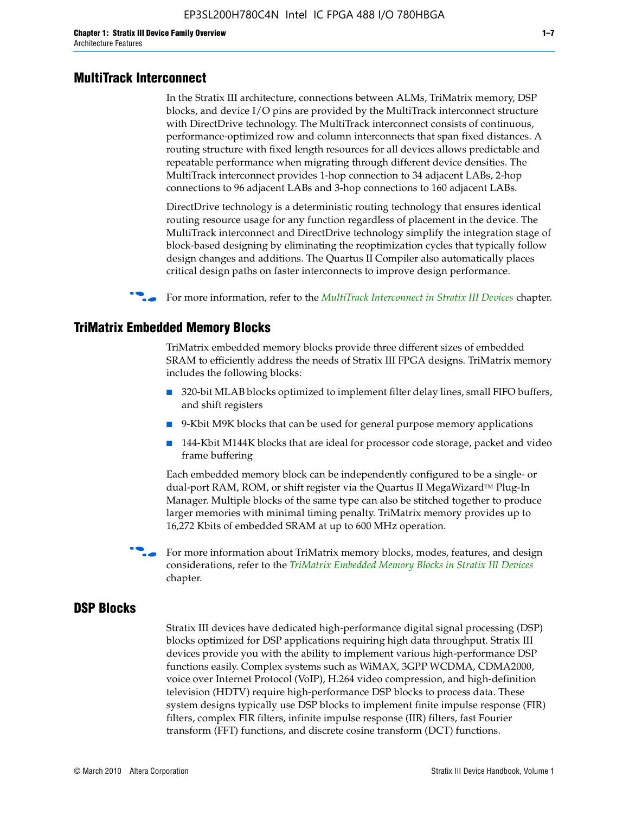#### **MultiTrack Interconnect**

In the Stratix III architecture, connections between ALMs, TriMatrix memory, DSP blocks, and device I/O pins are provided by the MultiTrack interconnect structure with DirectDrive technology. The MultiTrack interconnect consists of continuous, performance-optimized row and column interconnects that span fixed distances. A routing structure with fixed length resources for all devices allows predictable and repeatable performance when migrating through different device densities. The MultiTrack interconnect provides 1-hop connection to 34 adjacent LABs, 2-hop connections to 96 adjacent LABs and 3-hop connections to 160 adjacent LABs.

DirectDrive technology is a deterministic routing technology that ensures identical routing resource usage for any function regardless of placement in the device. The MultiTrack interconnect and DirectDrive technology simplify the integration stage of block-based designing by eliminating the reoptimization cycles that typically follow design changes and additions. The Quartus II Compiler also automatically places critical design paths on faster interconnects to improve design performance.

#### **For more information, refer to the** *[MultiTrack Interconnect in Stratix III Devices](http://www.altera.com/literature/hb/stx3/stx3_siii51003.pdf)* **chapter.**

#### **TriMatrix Embedded Memory Blocks**

TriMatrix embedded memory blocks provide three different sizes of embedded SRAM to efficiently address the needs of Stratix III FPGA designs. TriMatrix memory includes the following blocks:

- 320-bit MLAB blocks optimized to implement filter delay lines, small FIFO buffers, and shift registers
- 9-Kbit M9K blocks that can be used for general purpose memory applications
- 144-Kbit M144K blocks that are ideal for processor code storage, packet and video frame buffering

Each embedded memory block can be independently configured to be a single- or dual-port RAM, ROM, or shift register via the Quartus II MegaWizard™ Plug-In Manager. Multiple blocks of the same type can also be stitched together to produce larger memories with minimal timing penalty. TriMatrix memory provides up to 16,272 Kbits of embedded SRAM at up to 600 MHz operation.

For more information about TriMatrix memory blocks, modes, features, and design considerations, refer to the *[TriMatrix Embedded Memory Blocks in Stratix III Devices](http://www.altera.com/literature/hb/stx3/stx3_siii51004.pdf)* chapter.

#### **DSP Blocks**

Stratix III devices have dedicated high-performance digital signal processing (DSP) blocks optimized for DSP applications requiring high data throughput. Stratix III devices provide you with the ability to implement various high-performance DSP functions easily. Complex systems such as WiMAX, 3GPP WCDMA, CDMA2000, voice over Internet Protocol (VoIP), H.264 video compression, and high-definition television (HDTV) require high-performance DSP blocks to process data. These system designs typically use DSP blocks to implement finite impulse response (FIR) filters, complex FIR filters, infinite impulse response (IIR) filters, fast Fourier transform (FFT) functions, and discrete cosine transform (DCT) functions.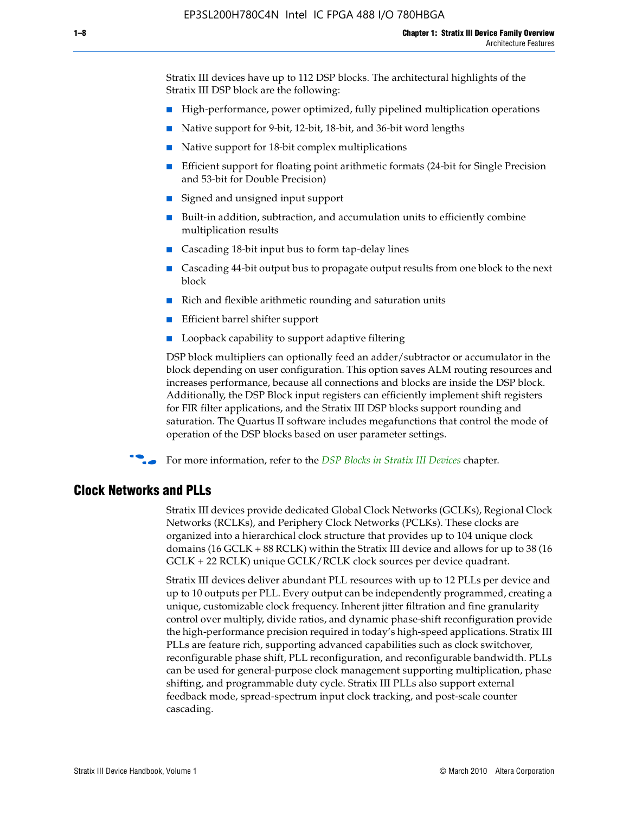Stratix III devices have up to 112 DSP blocks. The architectural highlights of the Stratix III DSP block are the following:

- High-performance, power optimized, fully pipelined multiplication operations
- Native support for 9-bit, 12-bit, 18-bit, and 36-bit word lengths
- Native support for 18-bit complex multiplications
- Efficient support for floating point arithmetic formats (24-bit for Single Precision and 53-bit for Double Precision)
- Signed and unsigned input support
- Built-in addition, subtraction, and accumulation units to efficiently combine multiplication results
- Cascading 18-bit input bus to form tap-delay lines
- Cascading 44-bit output bus to propagate output results from one block to the next block
- Rich and flexible arithmetic rounding and saturation units
- Efficient barrel shifter support
- Loopback capability to support adaptive filtering

DSP block multipliers can optionally feed an adder/subtractor or accumulator in the block depending on user configuration. This option saves ALM routing resources and increases performance, because all connections and blocks are inside the DSP block. Additionally, the DSP Block input registers can efficiently implement shift registers for FIR filter applications, and the Stratix III DSP blocks support rounding and saturation. The Quartus II software includes megafunctions that control the mode of operation of the DSP blocks based on user parameter settings.

f For more information, refer to the *[DSP Blocks in Stratix III Devices](http://www.altera.com/literature/hb/stx3/stx3_siii51005.pdf)* chapter.

#### **Clock Networks and PLLs**

Stratix III devices provide dedicated Global Clock Networks (GCLKs), Regional Clock Networks (RCLKs), and Periphery Clock Networks (PCLKs). These clocks are organized into a hierarchical clock structure that provides up to 104 unique clock domains (16 GCLK + 88 RCLK) within the Stratix III device and allows for up to 38 (16 GCLK + 22 RCLK) unique GCLK/RCLK clock sources per device quadrant.

Stratix III devices deliver abundant PLL resources with up to 12 PLLs per device and up to 10 outputs per PLL. Every output can be independently programmed, creating a unique, customizable clock frequency. Inherent jitter filtration and fine granularity control over multiply, divide ratios, and dynamic phase-shift reconfiguration provide the high-performance precision required in today's high-speed applications. Stratix III PLLs are feature rich, supporting advanced capabilities such as clock switchover, reconfigurable phase shift, PLL reconfiguration, and reconfigurable bandwidth. PLLs can be used for general-purpose clock management supporting multiplication, phase shifting, and programmable duty cycle. Stratix III PLLs also support external feedback mode, spread-spectrum input clock tracking, and post-scale counter cascading.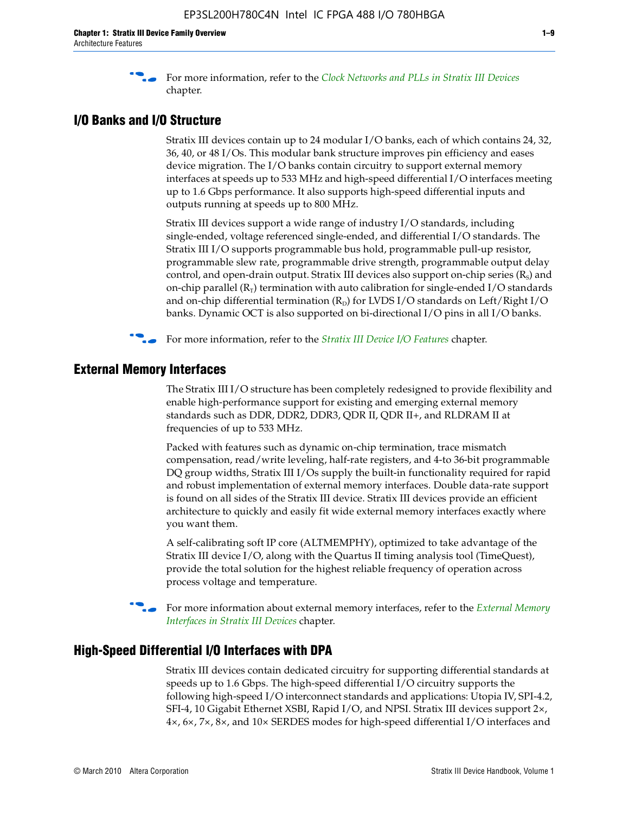f For more information, refer to the *[Clock Networks and PLLs in Stratix III Devices](http://www.altera.com/literature/hb/stx3/stx3_siii51006.pdf)* chapter.

## **I/O Banks and I/O Structure**

Stratix III devices contain up to 24 modular I/O banks, each of which contains 24, 32, 36, 40, or 48 I/Os. This modular bank structure improves pin efficiency and eases device migration. The I/O banks contain circuitry to support external memory interfaces at speeds up to 533 MHz and high-speed differential I/O interfaces meeting up to 1.6 Gbps performance. It also supports high-speed differential inputs and outputs running at speeds up to 800 MHz.

Stratix III devices support a wide range of industry I/O standards, including single-ended, voltage referenced single-ended, and differential I/O standards. The Stratix III I/O supports programmable bus hold, programmable pull-up resistor, programmable slew rate, programmable drive strength, programmable output delay control, and open-drain output. Stratix III devices also support on-chip series  $(R<sub>s</sub>)$  and on-chip parallel  $(R_T)$  termination with auto calibration for single-ended I/O standards and on-chip differential termination  $(R_D)$  for LVDS I/O standards on Left/Right I/O banks. Dynamic OCT is also supported on bi-directional I/O pins in all I/O banks.

**For more information, refer to the** *[Stratix III Device I/O Features](http://www.altera.com/literature/hb/stx3/stx3_siii51007.pdf)* **chapter.** 

## **External Memory Interfaces**

The Stratix III I/O structure has been completely redesigned to provide flexibility and enable high-performance support for existing and emerging external memory standards such as DDR, DDR2, DDR3, QDR II, QDR II+, and RLDRAM II at frequencies of up to 533 MHz.

Packed with features such as dynamic on-chip termination, trace mismatch compensation, read/write leveling, half-rate registers, and 4-to 36-bit programmable DQ group widths, Stratix III I/Os supply the built-in functionality required for rapid and robust implementation of external memory interfaces. Double data-rate support is found on all sides of the Stratix III device. Stratix III devices provide an efficient architecture to quickly and easily fit wide external memory interfaces exactly where you want them.

A self-calibrating soft IP core (ALTMEMPHY), optimized to take advantage of the Stratix III device I/O, along with the Quartus II timing analysis tool (TimeQuest), provide the total solution for the highest reliable frequency of operation across process voltage and temperature.

f For more information about external memory interfaces, refer to the *[External Memory](http://www.altera.com/literature/hb/stx3/stx3_siii51008.pdf)  [Interfaces in Stratix III Devices](http://www.altera.com/literature/hb/stx3/stx3_siii51008.pdf)* chapter.

#### **High-Speed Differential I/O Interfaces with DPA**

Stratix III devices contain dedicated circuitry for supporting differential standards at speeds up to 1.6 Gbps. The high-speed differential I/O circuitry supports the following high-speed I/O interconnect standards and applications: Utopia IV, SPI-4.2, SFI-4, 10 Gigabit Ethernet XSBI, Rapid I/O, and NPSI. Stratix III devices support 2×, 4×, 6×, 7×, 8×, and 10× SERDES modes for high-speed differential I/O interfaces and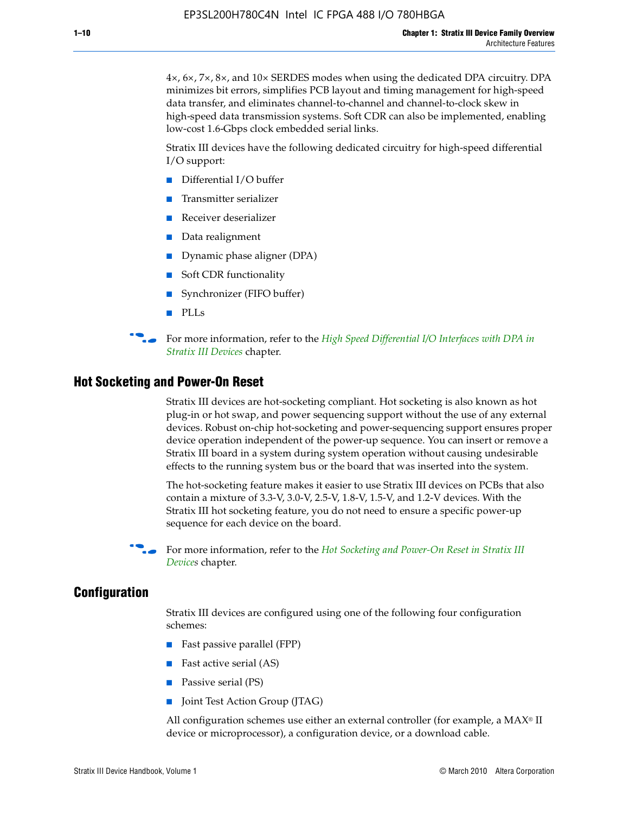4×, 6×, 7×, 8×, and 10× SERDES modes when using the dedicated DPA circuitry. DPA minimizes bit errors, simplifies PCB layout and timing management for high-speed data transfer, and eliminates channel-to-channel and channel-to-clock skew in high-speed data transmission systems. Soft CDR can also be implemented, enabling low-cost 1.6-Gbps clock embedded serial links.

Stratix III devices have the following dedicated circuitry for high-speed differential I/O support:

- Differential I/O buffer
- Transmitter serializer
- Receiver deserializer
- Data realignment
- Dynamic phase aligner (DPA)
- Soft CDR functionality
- Synchronizer (FIFO buffer)
- PLLs

**for more information, refer to the** *High Speed Differential I/O Interfaces with DPA in [Stratix III Devices](http://www.altera.com/literature/hb/stx3/stx3_siii51009.pdf)* chapter.

#### **Hot Socketing and Power-On Reset**

Stratix III devices are hot-socketing compliant. Hot socketing is also known as hot plug-in or hot swap, and power sequencing support without the use of any external devices. Robust on-chip hot-socketing and power-sequencing support ensures proper device operation independent of the power-up sequence. You can insert or remove a Stratix III board in a system during system operation without causing undesirable effects to the running system bus or the board that was inserted into the system.

The hot-socketing feature makes it easier to use Stratix III devices on PCBs that also contain a mixture of 3.3-V, 3.0-V, 2.5-V, 1.8-V, 1.5-V, and 1.2-V devices. With the Stratix III hot socketing feature, you do not need to ensure a specific power-up sequence for each device on the board.

f For more information, refer to the *[Hot Socketing and Power-On Reset in Stratix III](http://www.altera.com/literature/hb/stx3/stx3_siii51010.pdf)  [Device](http://www.altera.com/literature/hb/stx3/stx3_siii51010.pdf)s* chapter.

#### **Configuration**

Stratix III devices are configured using one of the following four configuration schemes:

- Fast passive parallel (FPP)
- Fast active serial (AS)
- Passive serial (PS)
- Joint Test Action Group (JTAG)

All configuration schemes use either an external controller (for example, a  $MAX<sup>®</sup>$  II device or microprocessor), a configuration device, or a download cable.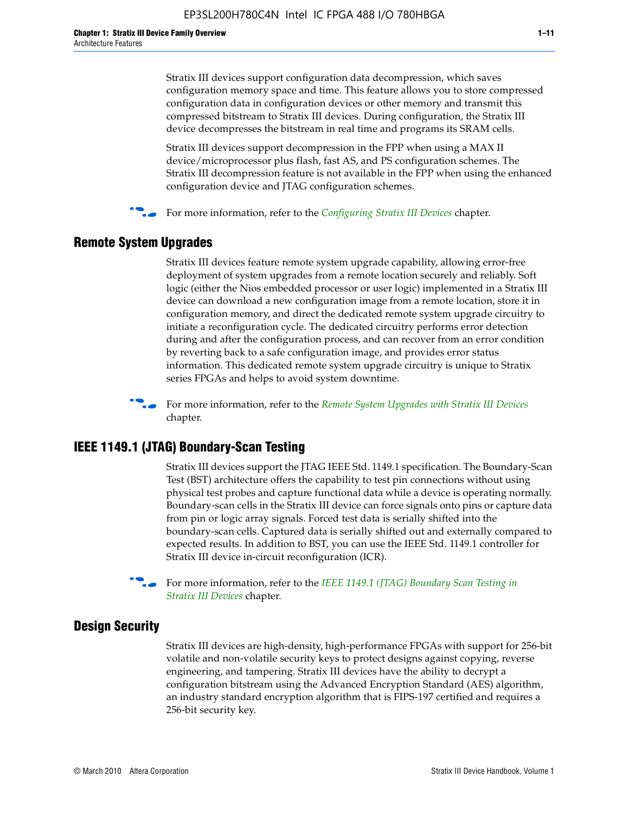Stratix III devices support configuration data decompression, which saves configuration memory space and time. This feature allows you to store compressed configuration data in configuration devices or other memory and transmit this compressed bitstream to Stratix III devices. During configuration, the Stratix III device decompresses the bitstream in real time and programs its SRAM cells.

Stratix III devices support decompression in the FPP when using a MAX II device/microprocessor plus flash, fast AS, and PS configuration schemes. The Stratix III decompression feature is not available in the FPP when using the enhanced configuration device and JTAG configuration schemes.

For more information, refer to the *[Configuring Stratix III Devices](http://www.altera.com/literature/hb/stx3/stx3_siii51011.pdf)* chapter.

## **Remote System Upgrades**

Stratix III devices feature remote system upgrade capability, allowing error-free deployment of system upgrades from a remote location securely and reliably. Soft logic (either the Nios embedded processor or user logic) implemented in a Stratix III device can download a new configuration image from a remote location, store it in configuration memory, and direct the dedicated remote system upgrade circuitry to initiate a reconfiguration cycle. The dedicated circuitry performs error detection during and after the configuration process, and can recover from an error condition by reverting back to a safe configuration image, and provides error status information. This dedicated remote system upgrade circuitry is unique to Stratix series FPGAs and helps to avoid system downtime.



**For more information, refer to the** *[Remote System Upgrades with Stratix III Devices](http://www.altera.com/literature/hb/stx3/stx3_siii51012.pdf)* chapter.

#### **IEEE 1149.1 (JTAG) Boundary-Scan Testing**

Stratix III devices support the JTAG IEEE Std. 1149.1 specification. The Boundary-Scan Test (BST) architecture offers the capability to test pin connections without using physical test probes and capture functional data while a device is operating normally. Boundary-scan cells in the Stratix III device can force signals onto pins or capture data from pin or logic array signals. Forced test data is serially shifted into the boundary-scan cells. Captured data is serially shifted out and externally compared to expected results. In addition to BST, you can use the IEEE Std. 1149.1 controller for Stratix III device in-circuit reconfiguration (ICR).

For more information, refer to the *IEEE 1149.1 (JTAG) Boundary Scan Testing in [Stratix III Devices](http://www.altera.com/literature/hb/stx3/stx3_siii51013.pdf)* chapter.

## **Design Security**

Stratix III devices are high-density, high-performance FPGAs with support for 256-bit volatile and non-volatile security keys to protect designs against copying, reverse engineering, and tampering. Stratix III devices have the ability to decrypt a configuration bitstream using the Advanced Encryption Standard (AES) algorithm, an industry standard encryption algorithm that is FIPS-197 certified and requires a 256-bit security key.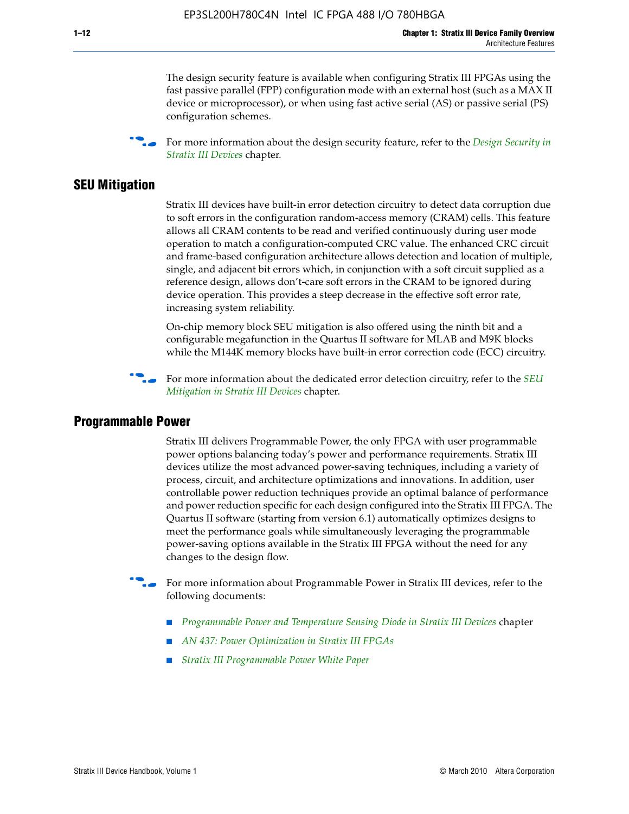The design security feature is available when configuring Stratix III FPGAs using the fast passive parallel (FPP) configuration mode with an external host (such as a MAX II device or microprocessor), or when using fast active serial (AS) or passive serial (PS) configuration schemes.

f For more information about the design security feature, refer to the *[Design Security in](http://www.altera.com/literature/hb/stx3/stx3_siii51014.pdf)  [Stratix III Devices](http://www.altera.com/literature/hb/stx3/stx3_siii51014.pdf)* chapter.

#### **SEU Mitigation**

Stratix III devices have built-in error detection circuitry to detect data corruption due to soft errors in the configuration random-access memory (CRAM) cells. This feature allows all CRAM contents to be read and verified continuously during user mode operation to match a configuration-computed CRC value. The enhanced CRC circuit and frame-based configuration architecture allows detection and location of multiple, single, and adjacent bit errors which, in conjunction with a soft circuit supplied as a reference design, allows don't-care soft errors in the CRAM to be ignored during device operation. This provides a steep decrease in the effective soft error rate, increasing system reliability.

On-chip memory block SEU mitigation is also offered using the ninth bit and a configurable megafunction in the Quartus II software for MLAB and M9K blocks while the M144K memory blocks have built-in error correction code (ECC) circuitry.

For more information about the dedicated error detection circuitry, refer to the *SEU [Mitigation in Stratix III Devices](http://www.altera.com/literature/hb/stx3/stx3_siii51015.pdf)* chapter.

#### **Programmable Power**

Stratix III delivers Programmable Power, the only FPGA with user programmable power options balancing today's power and performance requirements. Stratix III devices utilize the most advanced power-saving techniques, including a variety of process, circuit, and architecture optimizations and innovations. In addition, user controllable power reduction techniques provide an optimal balance of performance and power reduction specific for each design configured into the Stratix III FPGA. The Quartus II software (starting from version 6.1) automatically optimizes designs to meet the performance goals while simultaneously leveraging the programmable power-saving options available in the Stratix III FPGA without the need for any changes to the design flow.

For more information about Programmable Power in Stratix III devices, refer to the following documents:

- *[Programmable Power and Temperature Sensing Diode in Stratix III Devices](http://www.altera.com/literature/hb/stx3/stx3_siii51016.pdf)* chapter
- *[AN 437: Power Optimization in Stratix III FPGAs](http://www.altera.com/literature/an/AN437.pdf)*
- *[Stratix III Programmable Power White Paper](http://www.altera.com/literature/wp/wp-01006.pdf)*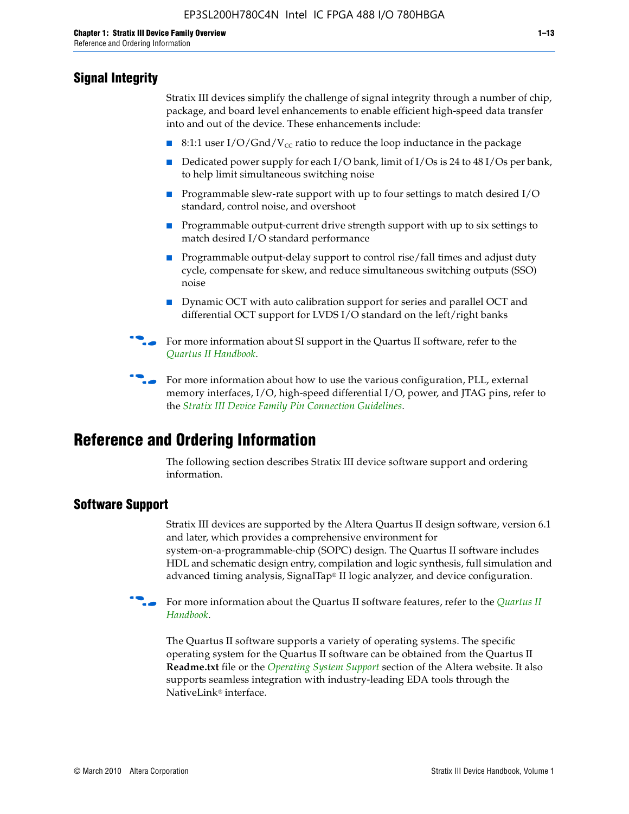# **Signal Integrity**

Stratix III devices simplify the challenge of signal integrity through a number of chip, package, and board level enhancements to enable efficient high-speed data transfer into and out of the device. These enhancements include:

- 8:1:1 user I/O/Gnd/V<sub>cc</sub> ratio to reduce the loop inductance in the package
- Dedicated power supply for each I/O bank, limit of I/Os is 24 to 48 I/Os per bank, to help limit simultaneous switching noise
- Programmable slew-rate support with up to four settings to match desired I/O standard, control noise, and overshoot
- Programmable output-current drive strength support with up to six settings to match desired I/O standard performance
- Programmable output-delay support to control rise/fall times and adjust duty cycle, compensate for skew, and reduce simultaneous switching outputs (SSO) noise
- Dynamic OCT with auto calibration support for series and parallel OCT and differential OCT support for LVDS I/O standard on the left/right banks
- For mor[e](http://www.altera.com/literature/hb/qts/quartusii_handbook.pdf) information about SI support in the Quartus II software, refer to the *[Quartus II Handbook](http://www.altera.com/literature/hb/qts/quartusii_handbook.pdf)*.

For more information about how to use the various configuration, PLL, external memory interfaces, I/O, high-speed differential I/O, power, and JTAG pins, refer to the *[Stratix III Device Family Pin Connection Guidelines](http://www.altera.com/literature/dp/stx3/PCG-01004.pdf)*.

# **Reference and Ordering Information**

The following section describes Stratix III device software support and ordering information.

## **Software Support**

Stratix III devices are supported by the Altera Quartus II design software, version 6.1 and later, which provides a comprehensive environment for system-on-a-programmable-chip (SOPC) design. The Quartus II software includes HDL and schematic design entry, compilation and logic synthesis, full simulation and advanced timing analysis, SignalTap® II logic analyzer, and device configuration.

**For more information about the [Quartus II](http://www.altera.com/literature/hb/qts/quartusii_handbook.pdf) software features, refer to the** *Quartus II* **<b>Fig. 7** *[Handbook](http://www.altera.com/literature/hb/qts/quartusii_handbook.pdf)*.

The Quartus II software supports a variety of operating systems. The specific operating system for the Quartus II software can be obtained from the Quartus II **Readme.txt** file or the *[Operating System Support](http://www.altera.com/support/software/os_support/oss-index.html)* section of the Altera website. It also supports seamless integration with industry-leading EDA tools through the NativeLink® interface.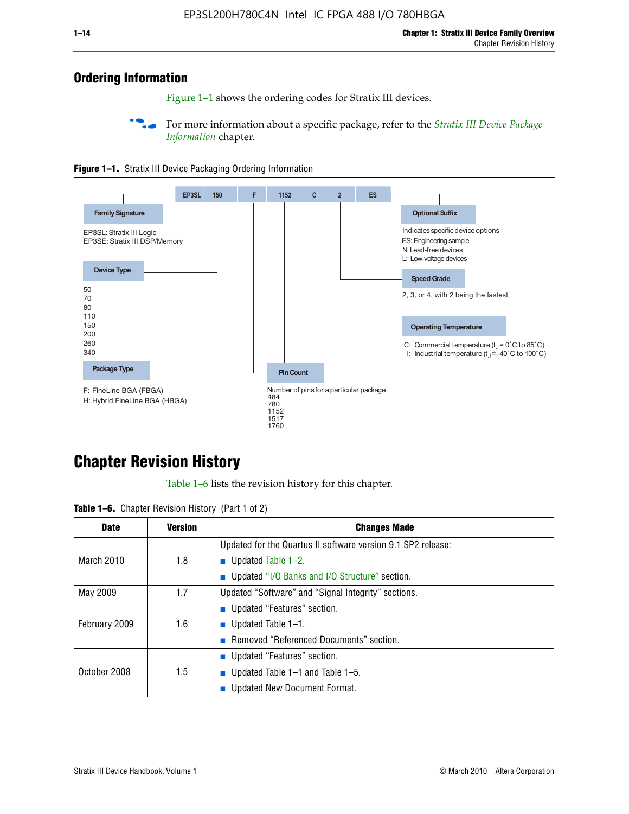# **Ordering Information**

Figure 1–1 shows the ordering codes for Stratix III devices.

For more information about a specific package, refer to the *Stratix III Device Package [Information](http://www.altera.com/literature/hb/stx3/stx3_siii51017.pdf)* chapter.





# **[C](http://www.altera.com/literature/hb/stx3/stx3_siii51012.pdf)hapter Revision History**

Table 1–6 lists the revision history for this chapter.

| <b>Table 1–6.</b> Chapter Revision History (Part 1 of 2) |  |  |  |  |  |
|----------------------------------------------------------|--|--|--|--|--|
|----------------------------------------------------------|--|--|--|--|--|

| <b>Date</b>       | <b>Version</b> | <b>Changes Made</b>                                          |  |  |  |
|-------------------|----------------|--------------------------------------------------------------|--|--|--|
|                   |                | Updated for the Quartus II software version 9.1 SP2 release: |  |  |  |
| <b>March 2010</b> | 1.8            | <b>u</b> Updated Table $1-2$ .                               |  |  |  |
|                   |                | ■ Updated "I/O Banks and I/O Structure" section.             |  |  |  |
| May 2009          | 1.7            | Updated "Software" and "Signal Integrity" sections.          |  |  |  |
|                   |                | Updated "Features" section.                                  |  |  |  |
| February 2009     | 1.6            | <b>u</b> Updated Table $1-1$ .                               |  |  |  |
|                   |                | Removed "Referenced Documents" section.                      |  |  |  |
|                   |                | ■ Updated "Features" section.                                |  |  |  |
| October 2008      | 1.5            | ■ Updated Table 1–1 and Table 1–5.                           |  |  |  |
|                   |                | <b>Updated New Document Format.</b>                          |  |  |  |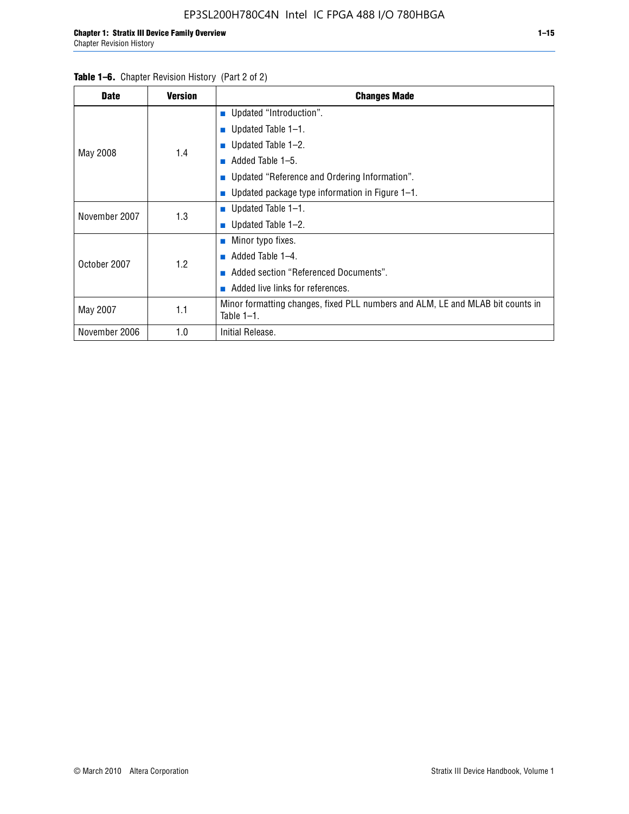| <b>Table 1–6.</b> Chapter Revision History (Part 2 of 2) |                |                                                                                |  |  |  |  |
|----------------------------------------------------------|----------------|--------------------------------------------------------------------------------|--|--|--|--|
| <b>Date</b>                                              | <b>Version</b> | <b>Changes Made</b>                                                            |  |  |  |  |
|                                                          |                | Updated "Introduction".                                                        |  |  |  |  |
|                                                          |                | ■ Updated Table $1-1$ .                                                        |  |  |  |  |
|                                                          |                | ■ Updated Table $1-2$ .                                                        |  |  |  |  |
| May 2008                                                 | 1.4            | Added Table 1–5.<br>m.                                                         |  |  |  |  |
|                                                          |                | ■ Updated "Reference and Ordering Information".                                |  |  |  |  |
|                                                          |                | ■ Updated package type information in Figure $1-1$ .                           |  |  |  |  |
| November 2007                                            |                | ■ Updated Table $1-1$ .                                                        |  |  |  |  |
|                                                          | 1.3            | ■ Updated Table $1-2$ .                                                        |  |  |  |  |
|                                                          |                | $\blacksquare$ Minor typo fixes.                                               |  |  |  |  |
| October 2007                                             | 1.2            | $\blacksquare$ Added Table 1-4.                                                |  |  |  |  |
|                                                          |                | Added section "Referenced Documents".                                          |  |  |  |  |
|                                                          |                | $\blacksquare$ Added live links for references.                                |  |  |  |  |
| 1.1<br>May 2007<br>Table $1-1$ .                         |                | Minor formatting changes, fixed PLL numbers and ALM, LE and MLAB bit counts in |  |  |  |  |
| November 2006                                            | 1.0            | Initial Release.                                                               |  |  |  |  |